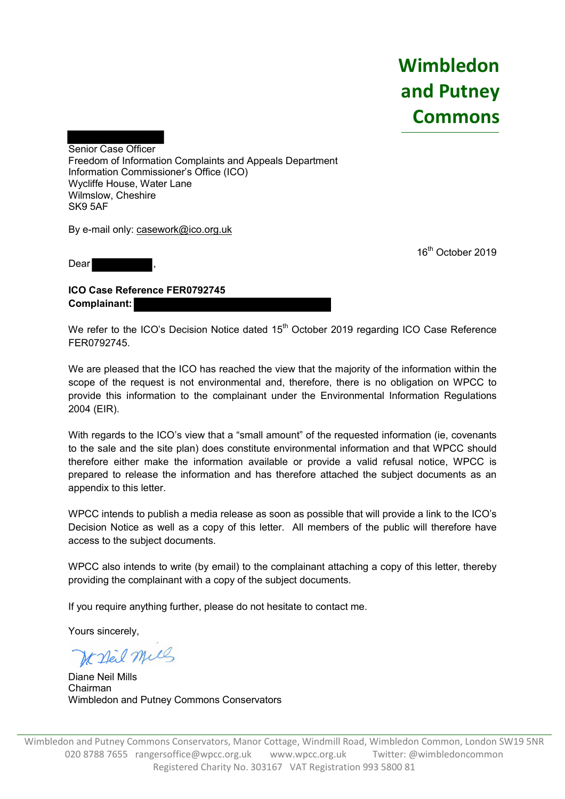**Wimbledon and Putney Commons**

Senior Case Officer Freedom of Information Complaints and Appeals Department Information Commissioner's Office (ICO) Wycliffe House, Water Lane Wilmslow, Cheshire SK9 5AF

By e-mail only: casework@ico.org.uk

Dear

16<sup>th</sup> October 2019

**ICO Case Reference FER0792745 Complainant:**

We refer to the ICO's Decision Notice dated 15<sup>th</sup> October 2019 regarding ICO Case Reference FER0792745.

We are pleased that the ICO has reached the view that the majority of the information within the scope of the request is not environmental and, therefore, there is no obligation on WPCC to provide this information to the complainant under the Environmental Information Regulations 2004 (EIR).

With regards to the ICO's view that a "small amount" of the requested information (ie, covenants to the sale and the site plan) does constitute environmental information and that WPCC should therefore either make the information available or provide a valid refusal notice, WPCC is prepared to release the information and has therefore attached the subject documents as an appendix to this letter.

WPCC intends to publish a media release as soon as possible that will provide a link to the ICO's Decision Notice as well as a copy of this letter. All members of the public will therefore have access to the subject documents.

WPCC also intends to write (by email) to the complainant attaching a copy of this letter, thereby providing the complainant with a copy of the subject documents.

If you require anything further, please do not hesitate to contact me.

Yours sincerely,

We stad mill

Diane Neil Mills Chairman Wimbledon and Putney Commons Conservators

Wimbledon and Putney Commons Conservators, Manor Cottage, Windmill Road, Wimbledon Common, London SW19 5NR 020 8788 7655 rangersoffice@wpcc.org.uk www.wpcc.org.uk Twitter: @wimbledoncommon Registered Charity No. 303167 VAT Registration 993 5800 81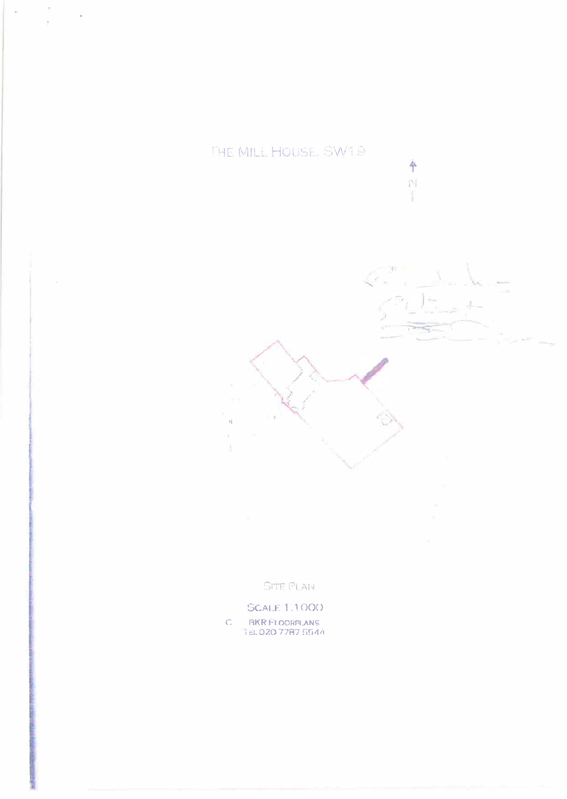THE MILL HOUSE SW19

ì,



卒 N ï

**SITE PLAN** 

**SCALE 1.1000** 

RKR FLOORPLANS<br>TEL 020 7787 5544  $\mathbb C$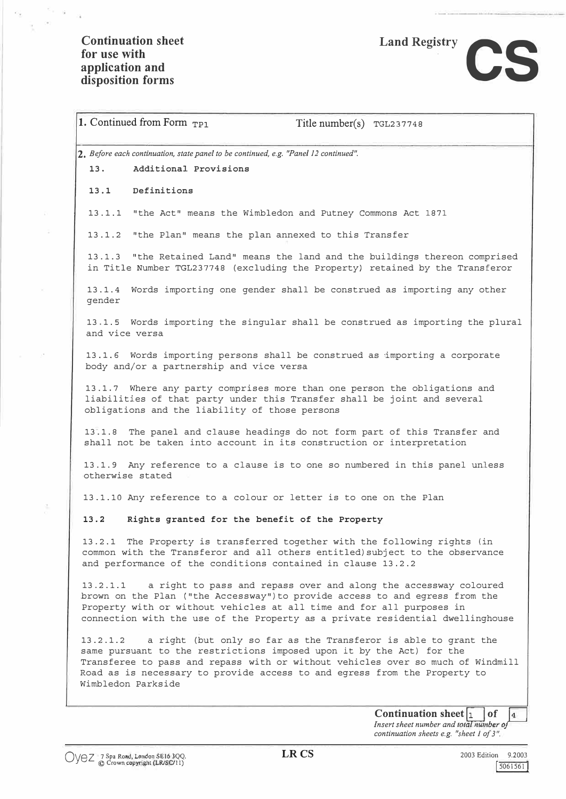$e_{\tau - \hat{y}}$ 

ā

 $\tilde{\alpha}$ 

# Land Registry **CS**

| 2. Before each continuation, state panel to be continued, e.g. "Panel 12 continued".<br>Additional Provisions<br>13.<br>13.1 Definitions<br>13.1.1 "the Act" means the Wimbledon and Putney Commons Act 1871<br>13.1.2 "the Plan" means the plan annexed to this Transfer<br>13.1.3 "the Retained Land" means the land and the buildings thereon comprised<br>in Title Number TGL237748 (excluding the Property) retained by the Transferor<br>13.1.4 Words importing one gender shall be construed as importing any other<br>gender<br>13.1.5 Words importing the singular shall be construed as importing the plural<br>and vice versa<br>13.1.6 Words importing persons shall be construed as importing a corporate<br>body and/or a partnership and vice versa<br>13.1.7 Where any party comprises more than one person the obligations and<br>liabilities of that party under this Transfer shall be joint and several<br>obligations and the liability of those persons<br>13.1.8 The panel and clause headings do not form part of this Transfer and<br>shall not be taken into account in its construction or interpretation<br>13.1.9 Any reference to a clause is to one so numbered in this panel unless<br>otherwise stated<br>13.1.10 Any reference to a colour or letter is to one on the Plan<br>13.2<br>Rights granted for the benefit of the Property<br>13.2.1 The Property is transferred together with the following rights (in<br>common with the Transferor and all others entitled) subject to the observance<br>and performance of the conditions contained in clause 13.2.2<br>a right to pass and repass over and along the accessway coloured<br>13.2.1.1<br>brown on the Plan ("the Accessway") to provide access to and egress from the<br>Property with or without vehicles at all time and for all purposes in<br>connection with the use of the Property as a private residential dwellinghouse<br>a right (but only so far as the Transferor is able to grant the<br>13.2.1.2<br>same pursuant to the restrictions imposed upon it by the Act) for the | 1. Continued from Form $_{\text{TP1}}$ | Title number(s) TGL237748 |
|-----------------------------------------------------------------------------------------------------------------------------------------------------------------------------------------------------------------------------------------------------------------------------------------------------------------------------------------------------------------------------------------------------------------------------------------------------------------------------------------------------------------------------------------------------------------------------------------------------------------------------------------------------------------------------------------------------------------------------------------------------------------------------------------------------------------------------------------------------------------------------------------------------------------------------------------------------------------------------------------------------------------------------------------------------------------------------------------------------------------------------------------------------------------------------------------------------------------------------------------------------------------------------------------------------------------------------------------------------------------------------------------------------------------------------------------------------------------------------------------------------------------------------------------------------------------------------------------------------------------------------------------------------------------------------------------------------------------------------------------------------------------------------------------------------------------------------------------------------------------------------------------------------------------------------------------------------------------------------------------------------------------------------------------------------------------------------------------|----------------------------------------|---------------------------|
|                                                                                                                                                                                                                                                                                                                                                                                                                                                                                                                                                                                                                                                                                                                                                                                                                                                                                                                                                                                                                                                                                                                                                                                                                                                                                                                                                                                                                                                                                                                                                                                                                                                                                                                                                                                                                                                                                                                                                                                                                                                                                         |                                        |                           |
|                                                                                                                                                                                                                                                                                                                                                                                                                                                                                                                                                                                                                                                                                                                                                                                                                                                                                                                                                                                                                                                                                                                                                                                                                                                                                                                                                                                                                                                                                                                                                                                                                                                                                                                                                                                                                                                                                                                                                                                                                                                                                         |                                        |                           |
|                                                                                                                                                                                                                                                                                                                                                                                                                                                                                                                                                                                                                                                                                                                                                                                                                                                                                                                                                                                                                                                                                                                                                                                                                                                                                                                                                                                                                                                                                                                                                                                                                                                                                                                                                                                                                                                                                                                                                                                                                                                                                         |                                        |                           |
|                                                                                                                                                                                                                                                                                                                                                                                                                                                                                                                                                                                                                                                                                                                                                                                                                                                                                                                                                                                                                                                                                                                                                                                                                                                                                                                                                                                                                                                                                                                                                                                                                                                                                                                                                                                                                                                                                                                                                                                                                                                                                         |                                        |                           |
|                                                                                                                                                                                                                                                                                                                                                                                                                                                                                                                                                                                                                                                                                                                                                                                                                                                                                                                                                                                                                                                                                                                                                                                                                                                                                                                                                                                                                                                                                                                                                                                                                                                                                                                                                                                                                                                                                                                                                                                                                                                                                         |                                        |                           |
|                                                                                                                                                                                                                                                                                                                                                                                                                                                                                                                                                                                                                                                                                                                                                                                                                                                                                                                                                                                                                                                                                                                                                                                                                                                                                                                                                                                                                                                                                                                                                                                                                                                                                                                                                                                                                                                                                                                                                                                                                                                                                         |                                        |                           |
|                                                                                                                                                                                                                                                                                                                                                                                                                                                                                                                                                                                                                                                                                                                                                                                                                                                                                                                                                                                                                                                                                                                                                                                                                                                                                                                                                                                                                                                                                                                                                                                                                                                                                                                                                                                                                                                                                                                                                                                                                                                                                         |                                        |                           |
|                                                                                                                                                                                                                                                                                                                                                                                                                                                                                                                                                                                                                                                                                                                                                                                                                                                                                                                                                                                                                                                                                                                                                                                                                                                                                                                                                                                                                                                                                                                                                                                                                                                                                                                                                                                                                                                                                                                                                                                                                                                                                         |                                        |                           |
|                                                                                                                                                                                                                                                                                                                                                                                                                                                                                                                                                                                                                                                                                                                                                                                                                                                                                                                                                                                                                                                                                                                                                                                                                                                                                                                                                                                                                                                                                                                                                                                                                                                                                                                                                                                                                                                                                                                                                                                                                                                                                         |                                        |                           |
|                                                                                                                                                                                                                                                                                                                                                                                                                                                                                                                                                                                                                                                                                                                                                                                                                                                                                                                                                                                                                                                                                                                                                                                                                                                                                                                                                                                                                                                                                                                                                                                                                                                                                                                                                                                                                                                                                                                                                                                                                                                                                         |                                        |                           |
|                                                                                                                                                                                                                                                                                                                                                                                                                                                                                                                                                                                                                                                                                                                                                                                                                                                                                                                                                                                                                                                                                                                                                                                                                                                                                                                                                                                                                                                                                                                                                                                                                                                                                                                                                                                                                                                                                                                                                                                                                                                                                         |                                        |                           |
|                                                                                                                                                                                                                                                                                                                                                                                                                                                                                                                                                                                                                                                                                                                                                                                                                                                                                                                                                                                                                                                                                                                                                                                                                                                                                                                                                                                                                                                                                                                                                                                                                                                                                                                                                                                                                                                                                                                                                                                                                                                                                         |                                        |                           |
|                                                                                                                                                                                                                                                                                                                                                                                                                                                                                                                                                                                                                                                                                                                                                                                                                                                                                                                                                                                                                                                                                                                                                                                                                                                                                                                                                                                                                                                                                                                                                                                                                                                                                                                                                                                                                                                                                                                                                                                                                                                                                         |                                        |                           |
|                                                                                                                                                                                                                                                                                                                                                                                                                                                                                                                                                                                                                                                                                                                                                                                                                                                                                                                                                                                                                                                                                                                                                                                                                                                                                                                                                                                                                                                                                                                                                                                                                                                                                                                                                                                                                                                                                                                                                                                                                                                                                         |                                        |                           |
|                                                                                                                                                                                                                                                                                                                                                                                                                                                                                                                                                                                                                                                                                                                                                                                                                                                                                                                                                                                                                                                                                                                                                                                                                                                                                                                                                                                                                                                                                                                                                                                                                                                                                                                                                                                                                                                                                                                                                                                                                                                                                         |                                        |                           |
| Transferee to pass and repass with or without vehicles over so much of Windmill<br>Road as is necessary to provide access to and egress from the Property to<br>Wimbledon Parkside                                                                                                                                                                                                                                                                                                                                                                                                                                                                                                                                                                                                                                                                                                                                                                                                                                                                                                                                                                                                                                                                                                                                                                                                                                                                                                                                                                                                                                                                                                                                                                                                                                                                                                                                                                                                                                                                                                      |                                        |                           |

*continuation sheets e.g. "sheet I of 3* ".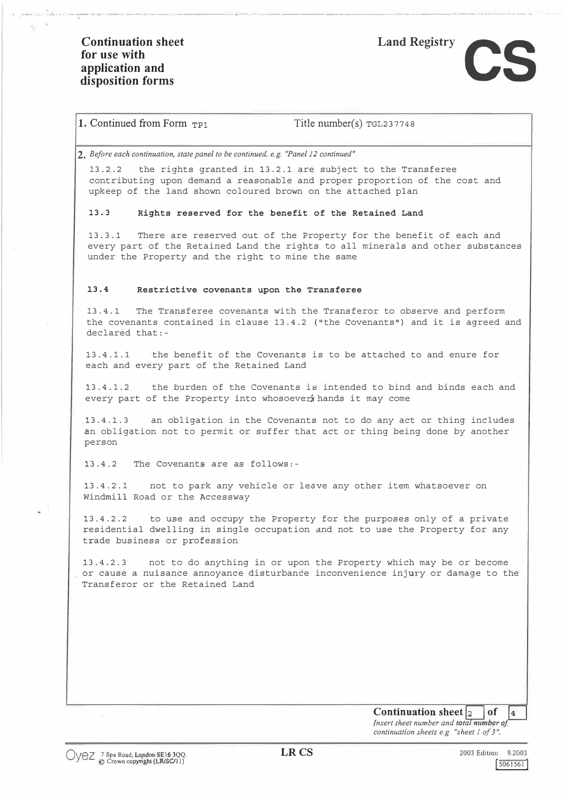$\sim$ 



## 1. Continued from Form <sub>TP1</sub> Title number(s) TGL237748

**2.** *Before each continuation, state panel to be continued, e.g. "Panel 12 continued".*

13.2.2 the rights granted in 13.2.1 are subject to the Transferee contributing upon demand a reasonable and proper proportion of the cost and upkeep of the land shown coloured brown on the attached plan

---- -- ------ ·------ --- ------ ------ -------- ------- -

**13.3 Rights reserved for the benefit of the Retained Land** 

13.3.1 There are reserved out of the Property for the benefit of each and every part of the Retained Land the rights to all minerals and other substances under the Property and the right to mine the same

#### **13.4 Restrictive covenants upon the Transferee**

13.4.1 The Transferee covenants with the Transferor to observe and perform the covenants contained in clause 13.4.2 ("the Covenants") and it is agreed and declared that:-

13.4.1.1 ·the benefit of the Covenants is to be attached to and enure for each and every part of the Retained Land

13.4.1.2 the burden of the Covenants is intended to bind and binds each and every part of the Property into whosoever's hands it may come

13.4.1.3 an obligation in the Covenants not to do any act or thing includes an obligation not to permit or suffer that act or thing being done by another person

13.4.2 The Covenants are as follows:-

13.4.2.1 not to park any vehicle or leave any other item whatsoever on Windmill Road or the Accessway

13.4.2.2 to use and occupy the Property for the purposes only of a private residential dwelling in single occupation and not to use the Property for any trade business or profession

13.4.2.3 not to do anything in or upon the Property which may be or become or cause a nuisance annoyance disturbance inconvenience injury or damage to the Transferor or the Retained Land

> **Continuation sheet**  $\begin{bmatrix} 2 \\ 1 \end{bmatrix}$  of  $\begin{bmatrix} 4 \\ 4 \end{bmatrix}$ Insert sheet number and total number of

*continuation sheets e.g. "sheet 1 of 3".*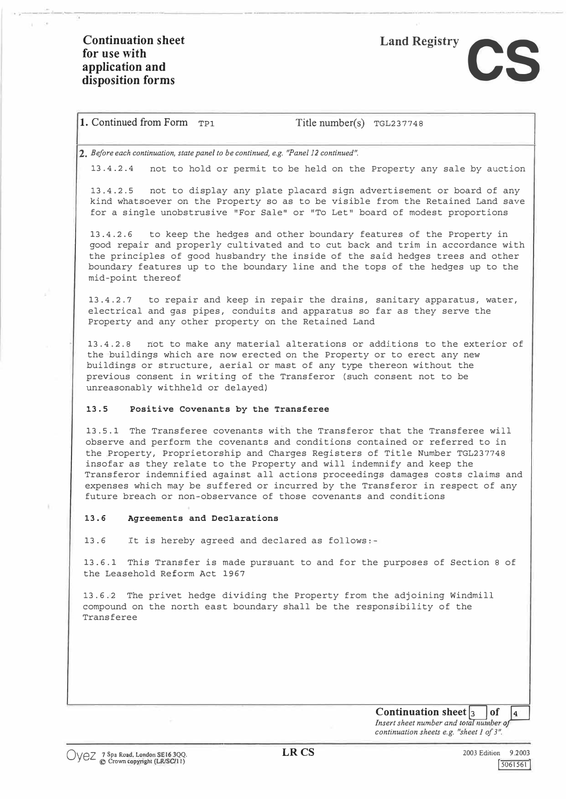.. -----------



### 1. Continued from Form TP1 Title number(s) TGL237748

**2.** *Before each continuation, state panel to be continued, e.g. "Panel 12 continued".*

13.4.2.4 not to hold or permit to be held on the Property any sale by auction

13.4.2.5 not to display any plate placard sign advertisement or board of any kind whatsoever on the Property so as to be visible from the Retained Land save for a single unobstrusive "For Sale" or "To Let" board of modest proportions

13.4.2.6 to keep the hedges and other boundary features of the Property in good repair and properly cultivated and to cut back and trim in accordance with the principles of good husbandry the inside of the said hedges trees and other boundary features up to the boundary line and the tops of the hedges up to the mid-point thereof

13.4.2.7 to repair and keep in repair the drains, sanitary apparatus, water, electrical and gas pipes, conduits and apparatus so far as they serve the Property and any other property on the Retained Land

13.4.2.8 not to make any material alterations or additions to the exterior of the buildings which are now erected on the Property or to erect any new buildings or structure, aerial or mast of any type thereon without the previous consent in writing of the Transferor (such consent not to be unreasonably withheld or delayed)

#### **13.5 Positive Covenants by the Transferee**

13.5.1 The Transferee covenants with the Transferor that the Transferee will observe and perform the covenants and conditions contained or referred to in the Property, Proprietorship and Charges Registers of Title Number TGL237748 insofar as they relate to the Property and will indemnify and keep the Transferor indemnified against all actions proceedings damages costs claims and expenses which may be suffered or incurred by the Transferor in respect of any future breach or non-observance of those covenants and conditions

#### **13.6 Agreements and Declarations**

13.6 It is hereby agreed and declared as follows:-

13.6.1 This Transfer is made pursuant to and for the purposes of Section 8 of the Leasehold Reform Act 1967

13.6.2 The privet hedge dividing the Property from the adjoining Windmill compound on the north east boundary shall be the responsibility of the Transferee

> **Continuation sheet**  $\begin{bmatrix} 3 \\ 1 \end{bmatrix}$  of  $\begin{bmatrix} 4 \\ 4 \end{bmatrix}$ *Insert sheet number and total number of*

*continuation sheets e.g. "sheet 1 of 3"*